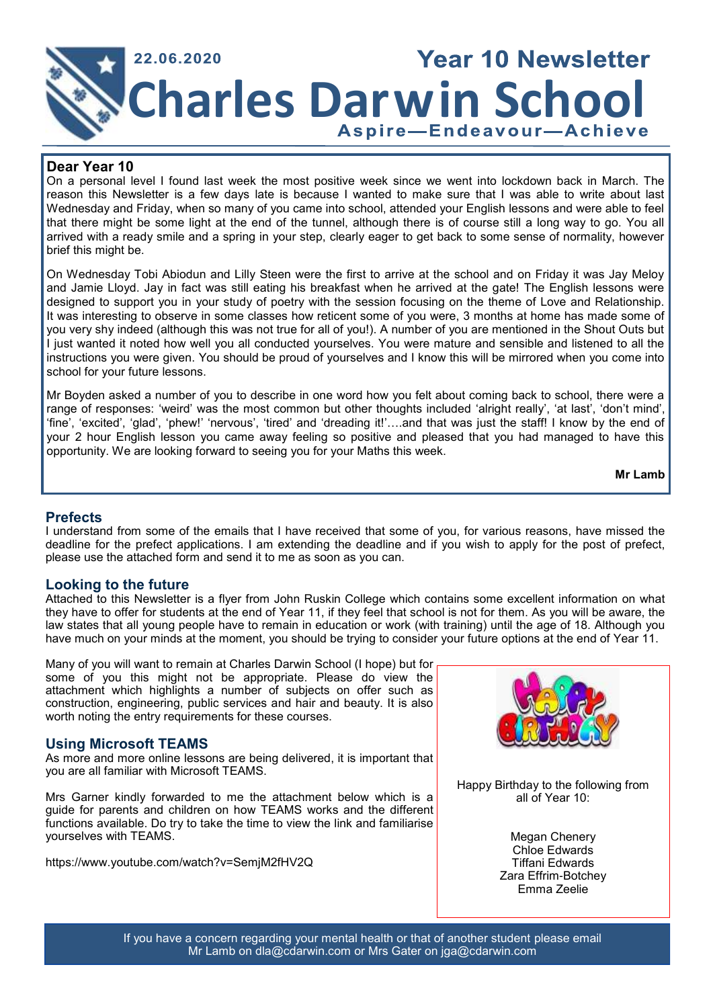

## **Dear Year 10**

On a personal level I found last week the most positive week since we went into lockdown back in March. The reason this Newsletter is a few days late is because I wanted to make sure that I was able to write about last Wednesday and Friday, when so many of you came into school, attended your English lessons and were able to feel that there might be some light at the end of the tunnel, although there is of course still a long way to go. You all arrived with a ready smile and a spring in your step, clearly eager to get back to some sense of normality, however brief this might be.

On Wednesday Tobi Abiodun and Lilly Steen were the first to arrive at the school and on Friday it was Jay Meloy and Jamie Lloyd. Jay in fact was still eating his breakfast when he arrived at the gate! The English lessons were designed to support you in your study of poetry with the session focusing on the theme of Love and Relationship. It was interesting to observe in some classes how reticent some of you were, 3 months at home has made some of you very shy indeed (although this was not true for all of you!). A number of you are mentioned in the Shout Outs but I just wanted it noted how well you all conducted yourselves. You were mature and sensible and listened to all the instructions you were given. You should be proud of yourselves and I know this will be mirrored when you come into school for your future lessons.

Mr Boyden asked a number of you to describe in one word how you felt about coming back to school, there were a range of responses: 'weird' was the most common but other thoughts included 'alright really', 'at last', 'don't mind', 'fine', 'excited', 'glad', 'phew!' 'nervous', 'tired' and 'dreading it!'….and that was just the staff! I know by the end of your 2 hour English lesson you came away feeling so positive and pleased that you had managed to have this opportunity. We are looking forward to seeing you for your Maths this week.

**Mr Lamb**

## **Prefects**

I understand from some of the emails that I have received that some of you, for various reasons, have missed the deadline for the prefect applications. I am extending the deadline and if you wish to apply for the post of prefect, please use the attached form and send it to me as soon as you can.

## **Looking to the future**

Attached to this Newsletter is a flyer from John Ruskin College which contains some excellent information on what they have to offer for students at the end of Year 11, if they feel that school is not for them. As you will be aware, the law states that all young people have to remain in education or work (with training) until the age of 18. Although you have much on your minds at the moment, you should be trying to consider your future options at the end of Year 11.

Many of you will want to remain at Charles Darwin School (I hope) but for some of you this might not be appropriate. Please do view the attachment which highlights a number of subjects on offer such as construction, engineering, public services and hair and beauty. It is also worth noting the entry requirements for these courses.

## **Using Microsoft TEAMS**

As more and more online lessons are being delivered, it is important that you are all familiar with Microsoft TEAMS.

Mrs Garner kindly forwarded to me the attachment below which is a guide for parents and children on how TEAMS works and the different functions available. Do try to take the time to view the link and familiarise yourselves with TEAMS.

https://www.youtube.com/watch?v=SemjM2fHV2Q



Happy Birthday to the following from all of Year 10:

> Megan Chenery Chloe Edwards Tiffani Edwards Zara Effrim-Botchey Emma Zeelie

If you have a concern regarding your mental health or that of another student please email Mr Lamb on dla@cdarwin.com or Mrs Gater on jga@cdarwin.com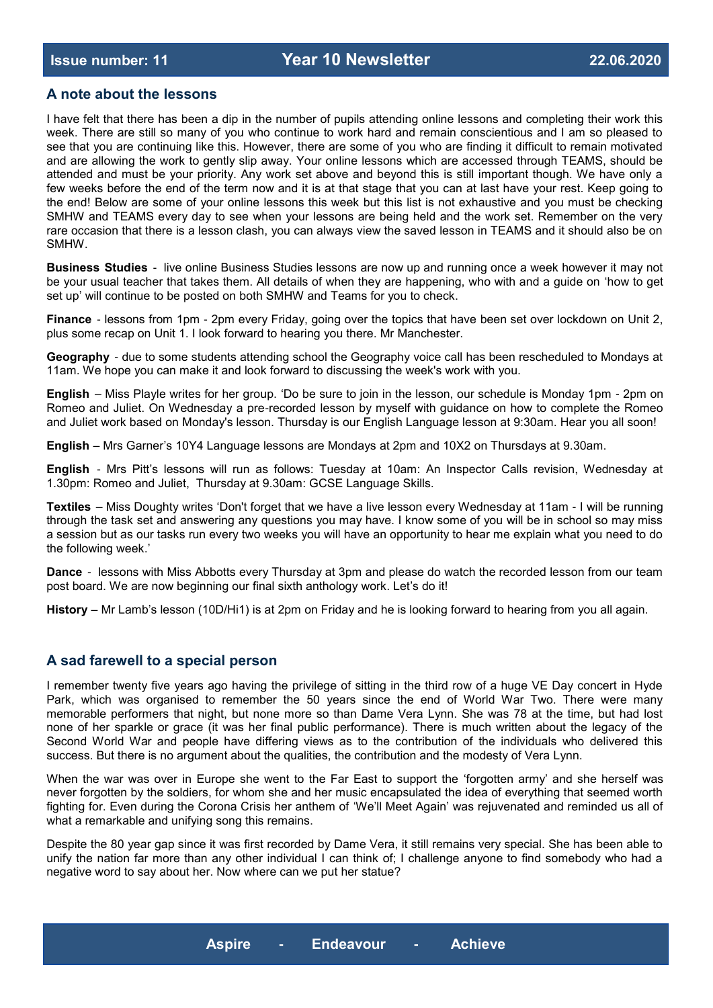## **A note about the lessons**

I have felt that there has been a dip in the number of pupils attending online lessons and completing their work this week. There are still so many of you who continue to work hard and remain conscientious and I am so pleased to see that you are continuing like this. However, there are some of you who are finding it difficult to remain motivated and are allowing the work to gently slip away. Your online lessons which are accessed through TEAMS, should be attended and must be your priority. Any work set above and beyond this is still important though. We have only a few weeks before the end of the term now and it is at that stage that you can at last have your rest. Keep going to the end! Below are some of your online lessons this week but this list is not exhaustive and you must be checking SMHW and TEAMS every day to see when your lessons are being held and the work set. Remember on the very rare occasion that there is a lesson clash, you can always view the saved lesson in TEAMS and it should also be on SMHW.

**Business Studies** - live online Business Studies lessons are now up and running once a week however it may not be your usual teacher that takes them. All details of when they are happening, who with and a guide on 'how to get set up' will continue to be posted on both SMHW and Teams for you to check.

**Finance** - lessons from 1pm - 2pm every Friday, going over the topics that have been set over lockdown on Unit 2, plus some recap on Unit 1. I look forward to hearing you there. Mr Manchester.

**Geography** - due to some students attending school the Geography voice call has been rescheduled to Mondays at 11am. We hope you can make it and look forward to discussing the week's work with you.

**English** – Miss Playle writes for her group. 'Do be sure to join in the lesson, our schedule is Monday 1pm - 2pm on Romeo and Juliet. On Wednesday a pre-recorded lesson by myself with guidance on how to complete the Romeo and Juliet work based on Monday's lesson. Thursday is our English Language lesson at 9:30am. Hear you all soon!

**English** – Mrs Garner's 10Y4 Language lessons are Mondays at 2pm and 10X2 on Thursdays at 9.30am.

**English** - Mrs Pitt's lessons will run as follows: Tuesday at 10am: An Inspector Calls revision, Wednesday at 1.30pm: Romeo and Juliet, Thursday at 9.30am: GCSE Language Skills.

**Textiles** – Miss Doughty writes 'Don't forget that we have a live lesson every Wednesday at 11am - I will be running through the task set and answering any questions you may have. I know some of you will be in school so may miss a session but as our tasks run every two weeks you will have an opportunity to hear me explain what you need to do the following week.'

**Dance** - lessons with Miss Abbotts every Thursday at 3pm and please do watch the recorded lesson from our team post board. We are now beginning our final sixth anthology work. Let's do it!

**History** – Mr Lamb's lesson (10D/Hi1) is at 2pm on Friday and he is looking forward to hearing from you all again.

## **A sad farewell to a special person**

I remember twenty five years ago having the privilege of sitting in the third row of a huge VE Day concert in Hyde Park, which was organised to remember the 50 years since the end of World War Two. There were many memorable performers that night, but none more so than Dame Vera Lynn. She was 78 at the time, but had lost none of her sparkle or grace (it was her final public performance). There is much written about the legacy of the Second World War and people have differing views as to the contribution of the individuals who delivered this success. But there is no argument about the qualities, the contribution and the modesty of Vera Lynn.

When the war was over in Europe she went to the Far East to support the 'forgotten army' and she herself was never forgotten by the soldiers, for whom she and her music encapsulated the idea of everything that seemed worth fighting for. Even during the Corona Crisis her anthem of 'We'll Meet Again' was rejuvenated and reminded us all of what a remarkable and unifying song this remains.

Despite the 80 year gap since it was first recorded by Dame Vera, it still remains very special. She has been able to unify the nation far more than any other individual I can think of; I challenge anyone to find somebody who had a negative word to say about her. Now where can we put her statue?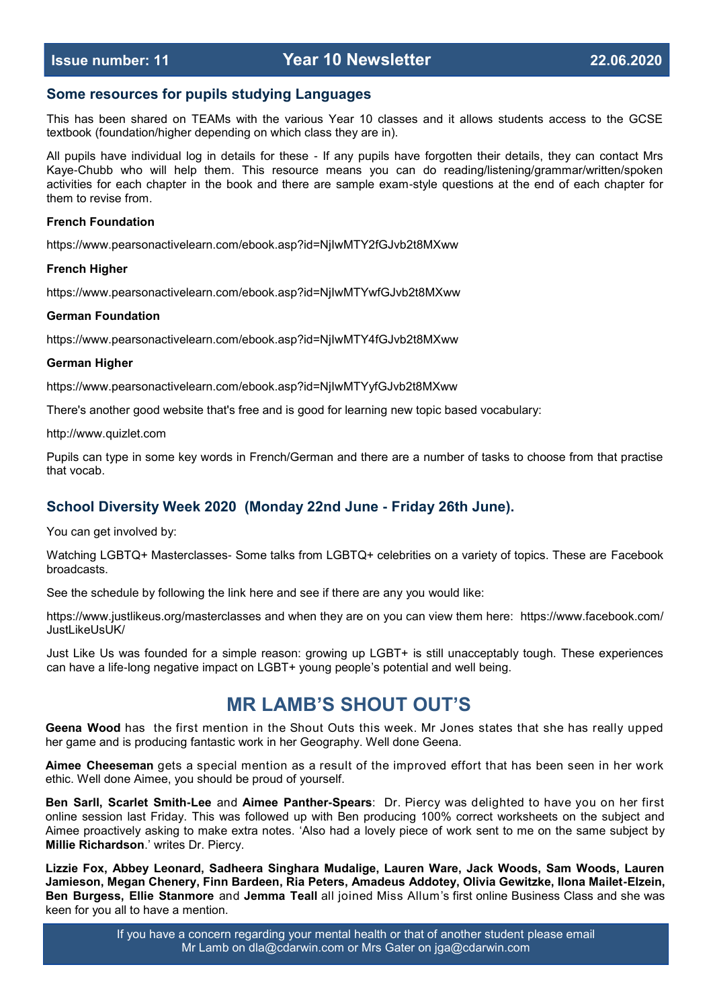## **Some resources for pupils studying Languages**

This has been shared on TEAMs with the various Year 10 classes and it allows students access to the GCSE textbook (foundation/higher depending on which class they are in).

All pupils have individual log in details for these - If any pupils have forgotten their details, they can contact Mrs Kaye-Chubb who will help them. This resource means you can do reading/listening/grammar/written/spoken activities for each chapter in the book and there are sample exam-style questions at the end of each chapter for them to revise from.

#### **French Foundation**

https://www.pearsonactivelearn.com/ebook.asp?id=NjIwMTY2fGJvb2t8MXww

#### **French Higher**

https://www.pearsonactivelearn.com/ebook.asp?id=NjIwMTYwfGJvb2t8MXww

#### **German Foundation**

https://www.pearsonactivelearn.com/ebook.asp?id=NjIwMTY4fGJvb2t8MXww

#### **German Higher**

https://www.pearsonactivelearn.com/ebook.asp?id=NjIwMTYyfGJvb2t8MXww

There's another good website that's free and is good for learning new topic based vocabulary:

http://www.quizlet.com

Pupils can type in some key words in French/German and there are a number of tasks to choose from that practise that vocab.

## **School Diversity Week 2020 (Monday 22nd June - Friday 26th June).**

You can get involved by:

Watching LGBTQ+ Masterclasses- Some talks from LGBTQ+ celebrities on a variety of topics. These are Facebook broadcasts.

See the schedule by following the link here and see if there are any you would like:

https://www.justlikeus.org/masterclasses and when they are on you can view them here: https://www.facebook.com/ JustLikeUsUK/

Just Like Us was founded for a simple reason: growing up LGBT+ is still unacceptably tough. These experiences can have a life-long negative impact on LGBT+ young people's potential and well being.

## **MR LAMB'S SHOUT OUT'S**

**Geena Wood** has the first mention in the Shout Outs this week. Mr Jones states that she has really upped her game and is producing fantastic work in her Geography. Well done Geena.

**Aimee Cheeseman** gets a special mention as a result of the improved effort that has been seen in her work ethic. Well done Aimee, you should be proud of yourself.

**Ben Sarll, Scarlet Smith-Lee** and **Aimee Panther-Spears**: Dr. Piercy was delighted to have you on her first online session last Friday. This was followed up with Ben producing 100% correct worksheets on the subject and Aimee proactively asking to make extra notes. 'Also had a lovely piece of work sent to me on the same subject by **Millie Richardson**.' writes Dr. Piercy.

**Lizzie Fox, Abbey Leonard, Sadheera Singhara Mudalige, Lauren Ware, Jack Woods, Sam Woods, Lauren Jamieson, Megan Chenery, Finn Bardeen, Ria Peters, Amadeus Addotey, Olivia Gewitzke, Ilona Mailet-Elzein, Ben Burgess, Ellie Stanmore** and **Jemma Teall** all joined Miss Allum's first online Business Class and she was keen for you all to have a mention.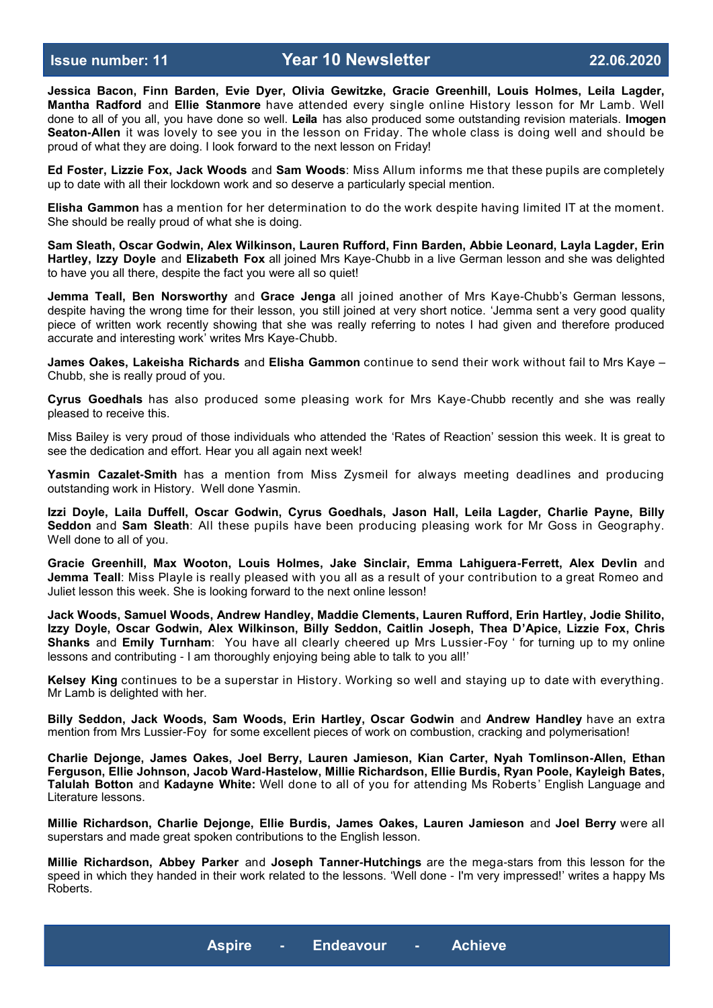**Jessica Bacon, Finn Barden, Evie Dyer, Olivia Gewitzke, Gracie Greenhill, Louis Holmes, Leila Lagder, Mantha Radford** and **Ellie Stanmore** have attended every single online History lesson for Mr Lamb. Well done to all of you all, you have done so well. **Leila** has also produced some outstanding revision materials. **Imogen Seaton-Allen** it was lovely to see you in the lesson on Friday. The whole class is doing well and should be proud of what they are doing. I look forward to the next lesson on Friday!

**Ed Foster, Lizzie Fox, Jack Woods** and **Sam Woods**: Miss Allum informs me that these pupils are completely up to date with all their lockdown work and so deserve a particularly special mention.

**Elisha Gammon** has a mention for her determination to do the work despite having limited IT at the moment. She should be really proud of what she is doing.

**Sam Sleath, Oscar Godwin, Alex Wilkinson, Lauren Rufford, Finn Barden, Abbie Leonard, Layla Lagder, Erin Hartley, Izzy Doyle** and **Elizabeth Fox** all joined Mrs Kaye-Chubb in a live German lesson and she was delighted to have you all there, despite the fact you were all so quiet!

**Jemma Teall, Ben Norsworthy** and **Grace Jenga** all joined another of Mrs Kaye-Chubb's German lessons, despite having the wrong time for their lesson, you still joined at very short notice. 'Jemma sent a very good quality piece of written work recently showing that she was really referring to notes I had given and therefore produced accurate and interesting work' writes Mrs Kaye-Chubb.

**James Oakes, Lakeisha Richards** and **Elisha Gammon** continue to send their work without fail to Mrs Kaye – Chubb, she is really proud of you.

**Cyrus Goedhals** has also produced some pleasing work for Mrs Kaye-Chubb recently and she was really pleased to receive this.

Miss Bailey is very proud of those individuals who attended the 'Rates of Reaction' session this week. It is great to see the dedication and effort. Hear you all again next week!

**Yasmin Cazalet-Smith** has a mention from Miss Zysmeil for always meeting deadlines and producing outstanding work in History. Well done Yasmin.

**Izzi Doyle, Laila Duffell, Oscar Godwin, Cyrus Goedhals, Jason Hall, Leila Lagder, Charlie Payne, Billy Seddon** and **Sam Sleath**: All these pupils have been producing pleasing work for Mr Goss in Geography. Well done to all of you.

**Gracie Greenhill, Max Wooton, Louis Holmes, Jake Sinclair, Emma Lahiguera-Ferrett, Alex Devlin** and **Jemma Teall**: Miss Playle is really pleased with you all as a result of your contribution to a great Romeo and Juliet lesson this week. She is looking forward to the next online lesson!

**Jack Woods, Samuel Woods, Andrew Handley, Maddie Clements, Lauren Rufford, Erin Hartley, Jodie Shilito, Izzy Doyle, Oscar Godwin, Alex Wilkinson, Billy Seddon, Caitlin Joseph, Thea D'Apice, Lizzie Fox, Chris Shanks** and **Emily Turnham**: You have all clearly cheered up Mrs Lussier-Foy ' for turning up to my online lessons and contributing - I am thoroughly enjoying being able to talk to you all!'

**Kelsey King** continues to be a superstar in History. Working so well and staying up to date with everything. Mr Lamb is delighted with her.

**Billy Seddon, Jack Woods, Sam Woods, Erin Hartley, Oscar Godwin** and **Andrew Handley** have an extra mention from Mrs Lussier-Foy for some excellent pieces of work on combustion, cracking and polymerisation!

**Charlie Dejonge, James Oakes, Joel Berry, Lauren Jamieson, Kian Carter, Nyah Tomlinson-Allen, Ethan Ferguson, Ellie Johnson, Jacob Ward-Hastelow, Millie Richardson, Ellie Burdis, Ryan Poole, Kayleigh Bates, Talulah Botton** and **Kadayne White:** Well done to all of you for attending Ms Roberts' English Language and Literature lessons.

**Millie Richardson, Charlie Dejonge, Ellie Burdis, James Oakes, Lauren Jamieson** and **Joel Berry** were all superstars and made great spoken contributions to the English lesson.

**Millie Richardson, Abbey Parker** and **Joseph Tanner-Hutchings** are the mega-stars from this lesson for the speed in which they handed in their work related to the lessons. 'Well done - I'm very impressed!' writes a happy Ms Roberts.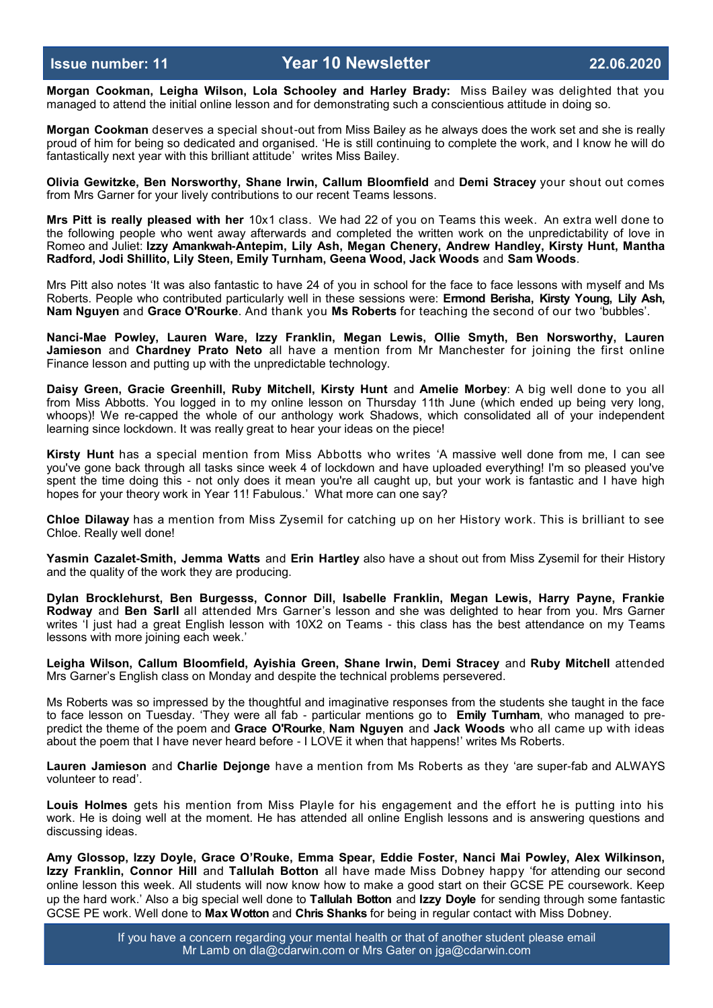**Morgan Cookman, Leigha Wilson, Lola Schooley and Harley Brady:** Miss Bailey was delighted that you managed to attend the initial online lesson and for demonstrating such a conscientious attitude in doing so.

**Morgan Cookman** deserves a special shout-out from Miss Bailey as he always does the work set and she is really proud of him for being so dedicated and organised. 'He is still continuing to complete the work, and I know he will do fantastically next year with this brilliant attitude' writes Miss Bailey.

**Olivia Gewitzke, Ben Norsworthy, Shane Irwin, Callum Bloomfield** and **Demi Stracey** your shout out comes from Mrs Garner for your lively contributions to our recent Teams lessons.

**Mrs Pitt is really pleased with her** 10x1 class. We had 22 of you on Teams this week. An extra well done to the following people who went away afterwards and completed the written work on the unpredictability of love in Romeo and Juliet: **Izzy Amankwah-Antepim, Lily Ash, Megan Chenery, Andrew Handley, Kirsty Hunt, Mantha Radford, Jodi Shillito, Lily Steen, Emily Turnham, Geena Wood, Jack Woods** and **Sam Woods**.

Mrs Pitt also notes 'It was also fantastic to have 24 of you in school for the face to face lessons with myself and Ms Roberts. People who contributed particularly well in these sessions were: **Ermond Berisha, Kirsty Young, Lily Ash, Nam Nguyen** and **Grace O'Rourke**. And thank you **Ms Roberts** for teaching the second of our two 'bubbles'.

**Nanci-Mae Powley, Lauren Ware, Izzy Franklin, Megan Lewis, Ollie Smyth, Ben Norsworthy, Lauren Jamieson** and **Chardney Prato Neto** all have a mention from Mr Manchester for joining the first online Finance lesson and putting up with the unpredictable technology.

**Daisy Green, Gracie Greenhill, Ruby Mitchell, Kirsty Hunt** and **Amelie Morbey**: A big well done to you all from Miss Abbotts. You logged in to my online lesson on Thursday 11th June (which ended up being very long, whoops)! We re-capped the whole of our anthology work Shadows, which consolidated all of your independent learning since lockdown. It was really great to hear your ideas on the piece!

**Kirsty Hunt** has a special mention from Miss Abbotts who writes 'A massive well done from me, I can see you've gone back through all tasks since week 4 of lockdown and have uploaded everything! I'm so pleased you've spent the time doing this - not only does it mean you're all caught up, but your work is fantastic and I have high hopes for your theory work in Year 11! Fabulous.' What more can one say?

**Chloe Dilaway** has a mention from Miss Zysemil for catching up on her History work. This is brilliant to see Chloe. Really well done!

**Yasmin Cazalet-Smith, Jemma Watts** and **Erin Hartley** also have a shout out from Miss Zysemil for their History and the quality of the work they are producing.

**Dylan Brocklehurst, Ben Burgesss, Connor Dill, Isabelle Franklin, Megan Lewis, Harry Payne, Frankie Rodway** and **Ben Sarll** all attended Mrs Garner's lesson and she was delighted to hear from you. Mrs Garner writes 'I just had a great English lesson with 10X2 on Teams - this class has the best attendance on my Teams lessons with more joining each week.'

**Leigha Wilson, Callum Bloomfield, Ayishia Green, Shane Irwin, Demi Stracey** and **Ruby Mitchell** attended Mrs Garner's English class on Monday and despite the technical problems persevered.

Ms Roberts was so impressed by the thoughtful and imaginative responses from the students she taught in the face to face lesson on Tuesday. 'They were all fab - particular mentions go to **Emily Turnham**, who managed to prepredict the theme of the poem and **Grace O'Rourke**, **Nam Nguyen** and **Jack Woods** who all came up with ideas about the poem that I have never heard before - I LOVE it when that happens!' writes Ms Roberts.

**Lauren Jamieson** and **Charlie Dejonge** have a mention from Ms Roberts as they 'are super-fab and ALWAYS volunteer to read'.

**Louis Holmes** gets his mention from Miss Playle for his engagement and the effort he is putting into his work. He is doing well at the moment. He has attended all online English lessons and is answering questions and discussing ideas.

**Amy Glossop, Izzy Doyle, Grace O'Rouke, Emma Spear, Eddie Foster, Nanci Mai Powley, Alex Wilkinson, Izzy Franklin, Connor Hill** and **Tallulah Botton** all have made Miss Dobney happy 'for attending our second online lesson this week. All students will now know how to make a good start on their GCSE PE coursework. Keep up the hard work.' Also a big special well done to **Tallulah Botton** and **Izzy Doyle** for sending through some fantastic GCSE PE work. Well done to **Max Wotton** and **Chris Shanks** for being in regular contact with Miss Dobney.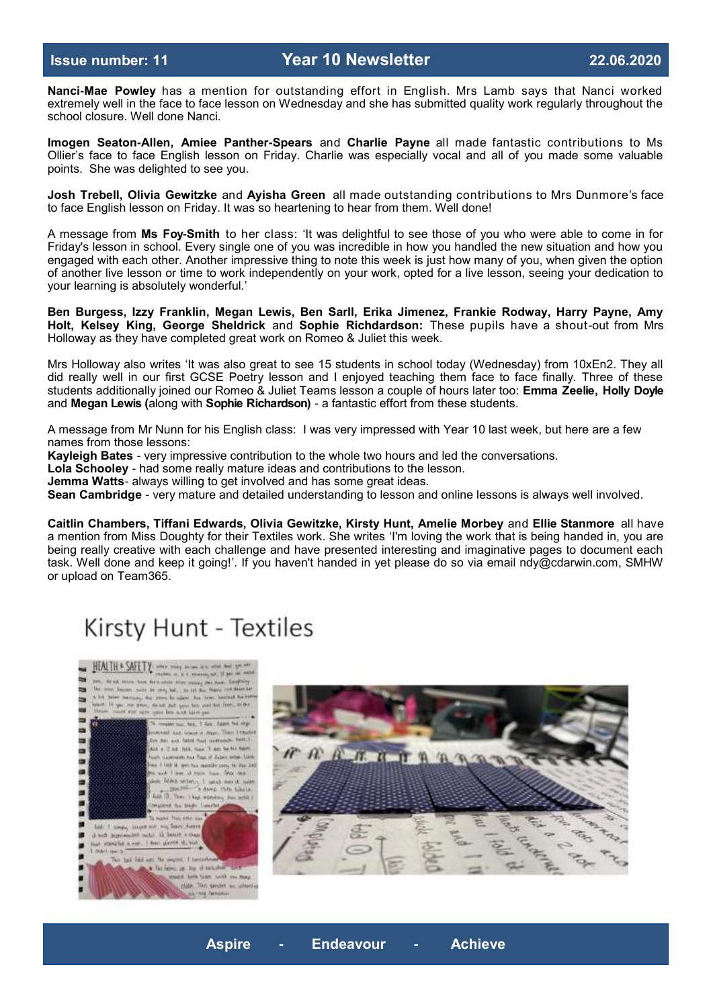**Nanci-Mae Powley** has a mention for outstanding effort in English. Mrs Lamb says that Nanci worked extremely well in the face to face lesson on Wednesday and she has submitted quality work regularly throughout the school closure. Well done Nanci.

**Imogen Seaton-Allen, Amiee Panther-Spears** and **Charlie Payne** all made fantastic contributions to Ms Ollier's face to face English lesson on Friday. Charlie was especially vocal and all of you made some valuable points. She was delighted to see you.

**Josh Trebell, Olivia Gewitzke** and **Ayisha Green** all made outstanding contributions to Mrs Dunmore's face to face English lesson on Friday. It was so heartening to hear from them. Well done!

A message from **Ms Foy-Smith** to her class: 'It was delightful to see those of you who were able to come in for Friday's lesson in school. Every single one of you was incredible in how you handled the new situation and how you engaged with each other. Another impressive thing to note this week is just how many of you, when given the option of another live lesson or time to work independently on your work, opted for a live lesson, seeing your dedication to your learning is absolutely wonderful.'

**Ben Burgess, Izzy Franklin, Megan Lewis, Ben Sarll, Erika Jimenez, Frankie Rodway, Harry Payne, Amy Holt, Kelsey King, George Sheldrick** and **Sophie Richdardson:** These pupils have a shout-out from Mrs Holloway as they have completed great work on Romeo & Juliet this week.

Mrs Holloway also writes 'It was also great to see 15 students in school today (Wednesday) from 10xEn2. They all did really well in our first GCSE Poetry lesson and I enjoyed teaching them face to face finally. Three of these students additionally joined our Romeo & Juliet Teams lesson a couple of hours later too: **Emma Zeelie, Holly Doyle**  and **Megan Lewis (**along with **Sophie Richardson)** - a fantastic effort from these students.

A message from Mr Nunn for his English class: I was very impressed with Year 10 last week, but here are a few names from those lessons:

**Kayleigh Bates** - very impressive contribution to the whole two hours and led the conversations.

**Lola Schooley** - had some really mature ideas and contributions to the lesson.

**Jemma Watts**- always willing to get involved and has some great ideas.

**Sean Cambridge** - very mature and detailed understanding to lesson and online lessons is always well involved.

**Caitlin Chambers, Tiffani Edwards, Olivia Gewitzke, Kirsty Hunt, Amelie Morbey** and **Ellie Stanmore** all have a mention from Miss Doughty for their Textiles work. She writes 'I'm loving the work that is being handed in, you are being really creative with each challenge and have presented interesting and imaginative pages to document each task. Well done and keep it going!'. If you haven't handed in yet please do so via email ndy@cdarwin.com, SMHW or upload on Team365.

# Kirsty Hunt - Textiles